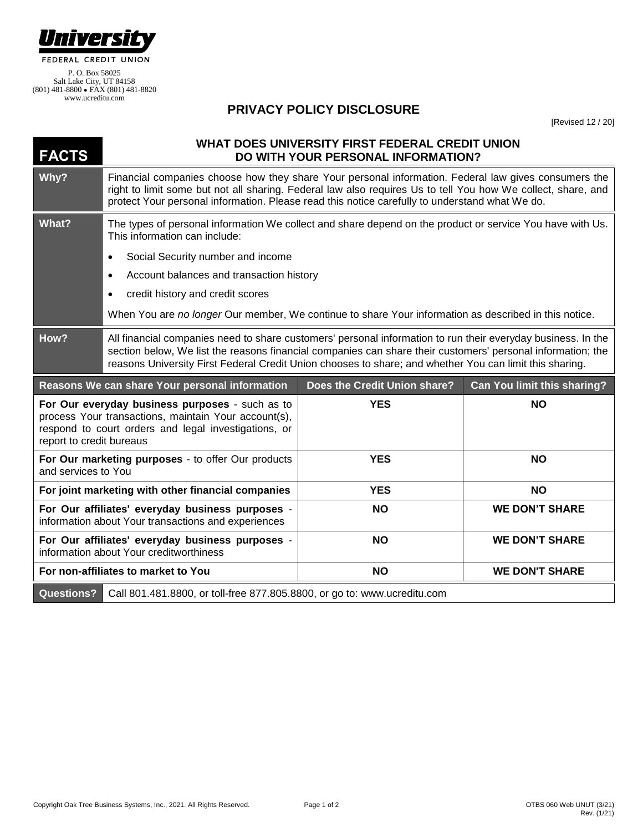

www.ucreditu.com

## **PRIVACY POLICY DISCLOSURE**

[Revised 12 / 20]

| <b>FACTS</b>             | WHAT DOES UNIVERSITY FIRST FEDERAL CREDIT UNION<br>DO WITH YOUR PERSONAL INFORMATION?                                                                                                                                                                                                                                                  |                              |                             |
|--------------------------|----------------------------------------------------------------------------------------------------------------------------------------------------------------------------------------------------------------------------------------------------------------------------------------------------------------------------------------|------------------------------|-----------------------------|
| Why?                     | Financial companies choose how they share Your personal information. Federal law gives consumers the<br>right to limit some but not all sharing. Federal law also requires Us to tell You how We collect, share, and<br>protect Your personal information. Please read this notice carefully to understand what We do.                 |                              |                             |
| What?                    | The types of personal information We collect and share depend on the product or service You have with Us.<br>This information can include:                                                                                                                                                                                             |                              |                             |
|                          | Social Security number and income                                                                                                                                                                                                                                                                                                      |                              |                             |
|                          | Account balances and transaction history                                                                                                                                                                                                                                                                                               |                              |                             |
|                          | credit history and credit scores                                                                                                                                                                                                                                                                                                       |                              |                             |
|                          | When You are no longer Our member, We continue to share Your information as described in this notice.                                                                                                                                                                                                                                  |                              |                             |
| How?                     | All financial companies need to share customers' personal information to run their everyday business. In the<br>section below, We list the reasons financial companies can share their customers' personal information; the<br>reasons University First Federal Credit Union chooses to share; and whether You can limit this sharing. |                              |                             |
|                          | Reasons We can share Your personal information                                                                                                                                                                                                                                                                                         |                              |                             |
|                          |                                                                                                                                                                                                                                                                                                                                        | Does the Credit Union share? | Can You limit this sharing? |
| report to credit bureaus | For Our everyday business purposes - such as to<br>process Your transactions, maintain Your account(s),<br>respond to court orders and legal investigations, or                                                                                                                                                                        | <b>YES</b>                   | <b>NO</b>                   |
| and services to You      | For Our marketing purposes - to offer Our products                                                                                                                                                                                                                                                                                     | <b>YES</b>                   | <b>NO</b>                   |
|                          | For joint marketing with other financial companies                                                                                                                                                                                                                                                                                     | <b>YES</b>                   | <b>NO</b>                   |
|                          | For Our affiliates' everyday business purposes -<br>information about Your transactions and experiences                                                                                                                                                                                                                                | <b>NO</b>                    | <b>WE DON'T SHARE</b>       |
|                          | For Our affiliates' everyday business purposes -<br>information about Your creditworthiness                                                                                                                                                                                                                                            | <b>NO</b>                    | <b>WE DON'T SHARE</b>       |
|                          | For non-affiliates to market to You                                                                                                                                                                                                                                                                                                    | <b>NO</b>                    | <b>WE DON'T SHARE</b>       |